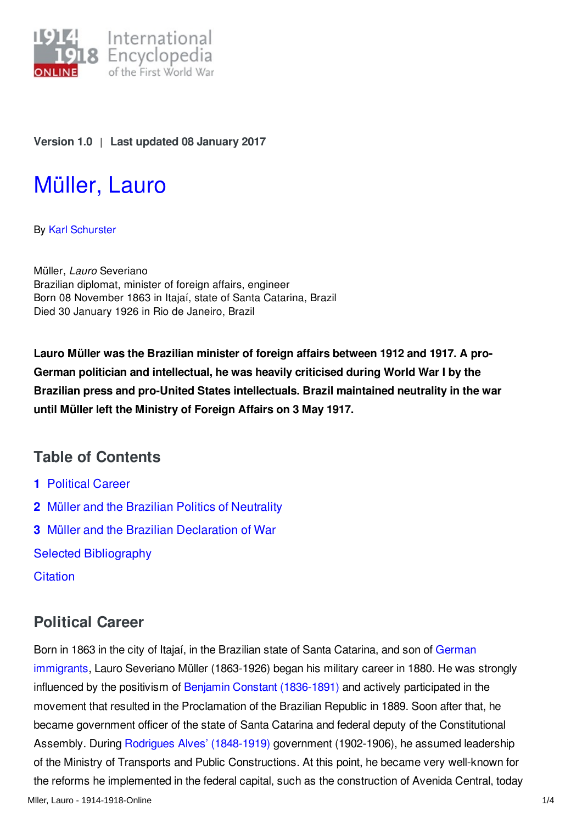

### **Version 1.0** | **Last updated 08 January 2017**

# [Müller,](http://encyclopedia.1914-1918-online.net/article/muller_lauro) Lauro

By Karl [Schurster](http://encyclopedia.1914-1918-online.net/contributors/Karl_Schurster)

Müller, *Lauro* Severiano Brazilian diplomat, minister of foreign affairs, engineer Born 08 November 1863 in Itajaí, state of Santa Catarina, Brazil Died 30 January 1926 in Rio de Janeiro, Brazil

**Lauro Müller was the Brazilian minister of foreign affairs between 1912 and 1917. A pro-German politician and intellectual, he was heavily criticised during World War I by the Brazilian press and pro-United States intellectuals. Brazil maintained neutrality in the war until Müller left the Ministry of Foreign Affairs on 3 May 1917.**

### **Table of Contents**

- **1** [Political](#page-0-0) Career
- **2** Müller and the Brazilian Politics of [Neutrality](#page-1-0)
- **3** Müller and the Brazilian [Declaration](#page-1-1) of War

Selected [Bibliography](#page-2-0)

**[Citation](#page-2-1)** 

### <span id="page-0-0"></span>**Political Career**

Born in 1863 in the city of Itajaí, in the Brazilian state of Santa Catarina, and son of German immigrants, Lauro Severiano Müller [\(1863-1926\)](/article/german_immigrants_brazil) began his military career in 1880. He was strongly influenced by the positivism of Benjamin Constant [\(1836-1891\)](/index/names/1053571127) and actively participated in the movement that resulted in the Proclamation of the Brazilian Republic in 1889. Soon after that, he became government officer of the state of Santa Catarina and federal deputy of the Constitutional Assembly. During Rodrigues Alves' [\(1848-1919\)](/index/names/1053571658) government (1902-1906), he assumed leadership of the Ministry of Transports and Public Constructions. At this point, he became very well-known for the reforms he implemented in the federal capital, such as the construction of Avenida Central, today Mller, Lauro - 1914-1918-Online 1/4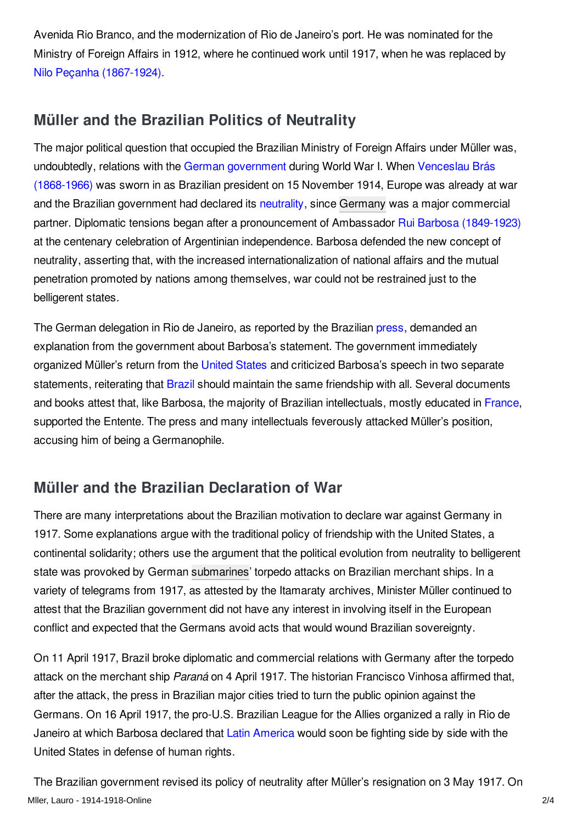Avenida Rio Branco, and the modernization of Rio de Janeiro's port. He was nominated for the Ministry of Foreign Affairs in 1912, where he continued work until 1917, when he was replaced by Nilo Peçanha [\(1867-1924\)](/index/names/1053572131).

### <span id="page-1-0"></span>**Müller and the Brazilian Politics of Neutrality**

The major political question that occupied the Brazilian Ministry of Foreign Affairs under Müller was, [undoubtedly,](/index/names/1049350596) relations with the German [government](/article/governments_parliaments_and_parties_germany) during World War I. When Venceslau Brás (1868-1966) was sworn in as Brazilian president on 15 November 1914, Europe was already at war and the Brazilian government had declared its [neutrality,](/article/neutrality) since [Germany](/article/germany) was a major commercial partner. Diplomatic tensions began after a pronouncement of Ambassador Rui Barbosa [\(1849-1923\)](/index/names/118745956) at the centenary celebration of Argentinian independence. Barbosa defended the new concept of neutrality, asserting that, with the increased internationalization of national affairs and the mutual penetration promoted by nations among themselves, war could not be restrained just to the belligerent states.

The German delegation in Rio de Janeiro, as reported by the Brazilian [press](/article/press_latin_america), demanded an explanation from the government about Barbosa's statement. The government immediately organized Müller's return from the [United](/article/united_states_of_america) States and criticized Barbosa's speech in two separate statements, reiterating that [Brazil](/article/brazil) should maintain the same friendship with all. Several documents and books attest that, like Barbosa, the majority of Brazilian intellectuals, mostly educated in [France](/article/france), supported the Entente. The press and many intellectuals feverously attacked Müller's position, accusing him of being a Germanophile.

## <span id="page-1-1"></span>**Müller and the Brazilian Declaration of War**

There are many interpretations about the Brazilian motivation to declare war against Germany in 1917. Some explanations argue with the traditional policy of friendship with the United States, a continental solidarity; others use the argument that the political evolution from neutrality to belligerent state was provoked by German [submarines](/article/submarines_and_submarine_warfare)' torpedo attacks on Brazilian merchant ships. In a variety of telegrams from 1917, as attested by the Itamaraty archives, Minister Müller continued to attest that the Brazilian government did not have any interest in involving itself in the European conflict and expected that the Germans avoid acts that would wound Brazilian sovereignty.

On 11 April 1917, Brazil broke diplomatic and commercial relations with Germany after the torpedo attack on the merchant ship *Paraná* on 4 April 1917. The historian Francisco Vinhosa affirmed that, after the attack, the press in Brazilian major cities tried to turn the public opinion against the Germans. On 16 April 1917, the pro-U.S. Brazilian League for the Allies organized a rally in Rio de Janeiro at which Barbosa declared that Latin [America](/article/latin_america) would soon be fighting side by side with the United States in defense of human rights.

The Brazilian government revised its policy of neutrality after Müller's resignation on 3 May 1917. On Mller, Lauro - 1914-1918-Online 2/4